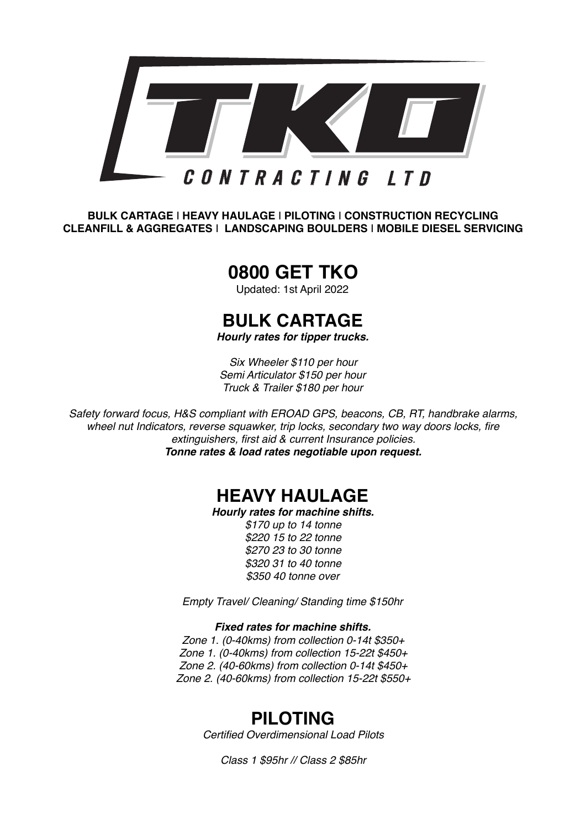

**BULK CARTAGE** I **HEAVY HAULAGE** I **PILOTING** I **CONSTRUCTION RECYCLING CLEANFILL & AGGREGATES** I **LANDSCAPING BOULDERS** I **MOBILE DIESEL SERVICING**

# **0800 GET TKO**

Updated: 1st April 2022

# **BULK CARTAGE**

*Hourly rates for tipper trucks.*

*Six Wheeler \$110 per hour Semi Articulator \$150 per hour Truck & Trailer \$180 per hour*

*Safety forward focus, H&S compliant with EROAD GPS, beacons, CB, RT, handbrake alarms, wheel nut Indicators, reverse squawker, trip locks, secondary two way doors locks, fire extinguishers, first aid & current Insurance policies. Tonne rates & load rates negotiable upon request.*

## **HEAVY HAULAGE**

*Hourly rates for machine shifts.* 

*\$170 up to 14 tonne \$220 15 to 22 tonne \$270 23 to 30 tonne \$320 31 to 40 tonne \$350 40 tonne over* 

*Empty Travel/ Cleaning/ Standing time \$150hr*

#### *Fixed rates for machine shifts.*

*Zone 1. (0-40kms) from collection 0-14t \$350+ Zone 1. (0-40kms) from collection 15-22t \$450+ Zone 2. (40-60kms) from collection 0-14t \$450+ Zone 2. (40-60kms) from collection 15-22t \$550+*

## **PILOTING**

*Certified Overdimensional Load Pilots*

*Class 1 \$95hr // Class 2 \$85hr*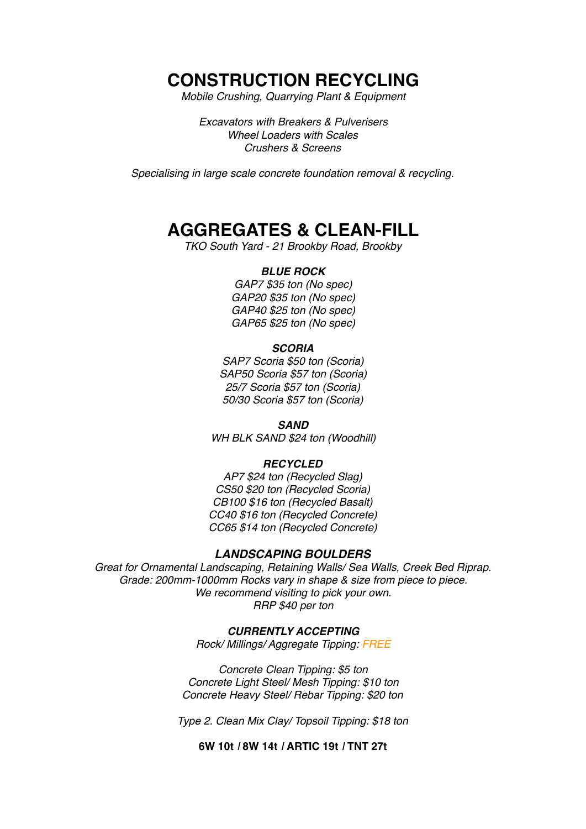### **CONSTRUCTION RECYCLING**

*Mobile Crushing, Quarrying Plant & Equipment*

*Excavators with Breakers & Pulverisers Wheel Loaders with Scales Crushers & Screens* 

*Specialising in large scale concrete foundation removal & recycling.* 

## **AGGREGATES & CLEAN-FILL**

*TKO South Yard - 21 Brookby Road, Brookby* 

#### *BLUE ROCK*

*GAP7 \$35 ton (No spec) GAP20 \$35 ton (No spec) GAP40 \$25 ton (No spec) GAP65 \$25 ton (No spec)*

#### *SCORIA*

*SAP7 Scoria \$50 ton (Scoria) SAP50 Scoria \$57 ton (Scoria) 25/7 Scoria \$57 ton (Scoria) 50/30 Scoria \$57 ton (Scoria)*

*SAND*

*WH BLK SAND \$24 ton (Woodhill)*

#### *RECYCLED*

*AP7 \$24 ton (Recycled Slag) CS50 \$20 ton (Recycled Scoria) CB100 \$16 ton (Recycled Basalt) CC40 \$16 ton (Recycled Concrete) CC65 \$14 ton (Recycled Concrete)* 

#### *LANDSCAPING BOULDERS*

*Great for Ornamental Landscaping, Retaining Walls/ Sea Walls, Creek Bed Riprap. Grade: 200mm-1000mm Rocks vary in shape & size from piece to piece. We recommend visiting to pick your own. RRP \$40 per ton*

#### *CURRENTLY ACCEPTING*

*Rock/ Millings/ Aggregate Tipping: FREE*

*Concrete Clean Tipping: \$5 ton Concrete Light Steel/ Mesh Tipping: \$10 ton Concrete Heavy Steel/ Rebar Tipping: \$20 ton*

*Type 2. Clean Mix Clay/ Topsoil Tipping: \$18 ton*

**6W 10t** *I* **8W 14t** *I* **ARTIC 19t** *I* **TNT 27t**